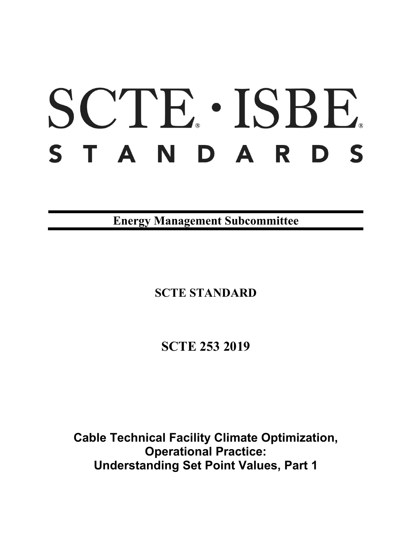# SCTE · ISBE. STANDARDS

**Energy Management Subcommittee**

**SCTE STANDARD**

**SCTE 253 2019**

**Cable Technical Facility Climate Optimization, Operational Practice: Understanding Set Point Values, Part 1**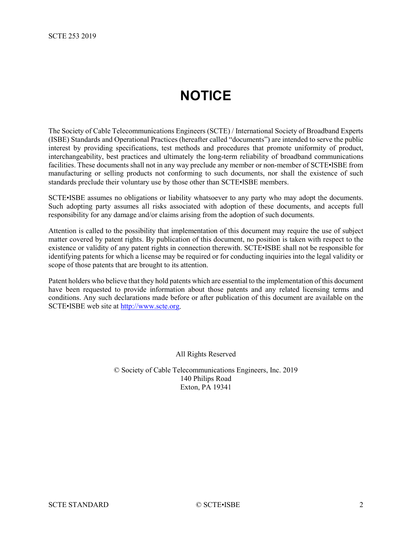# **NOTICE**

<span id="page-1-0"></span>The Society of Cable Telecommunications Engineers (SCTE) / International Society of Broadband Experts (ISBE) Standards and Operational Practices (hereafter called "documents") are intended to serve the public interest by providing specifications, test methods and procedures that promote uniformity of product, interchangeability, best practices and ultimately the long-term reliability of broadband communications facilities. These documents shall not in any way preclude any member or non-member of SCTE•ISBE from manufacturing or selling products not conforming to such documents, nor shall the existence of such standards preclude their voluntary use by those other than SCTE•ISBE members.

SCTE•ISBE assumes no obligations or liability whatsoever to any party who may adopt the documents. Such adopting party assumes all risks associated with adoption of these documents, and accepts full responsibility for any damage and/or claims arising from the adoption of such documents.

Attention is called to the possibility that implementation of this document may require the use of subject matter covered by patent rights. By publication of this document, no position is taken with respect to the existence or validity of any patent rights in connection therewith. SCTE•ISBE shall not be responsible for identifying patents for which a license may be required or for conducting inquiries into the legal validity or scope of those patents that are brought to its attention.

Patent holders who believe that they hold patents which are essential to the implementation of this document have been requested to provide information about those patents and any related licensing terms and conditions. Any such declarations made before or after publication of this document are available on the SCTE•ISBE web site at [http://www.scte.org.](http://www.scte.org/)

All Rights Reserved

© Society of Cable Telecommunications Engineers, Inc. 2019 140 Philips Road Exton, PA 19341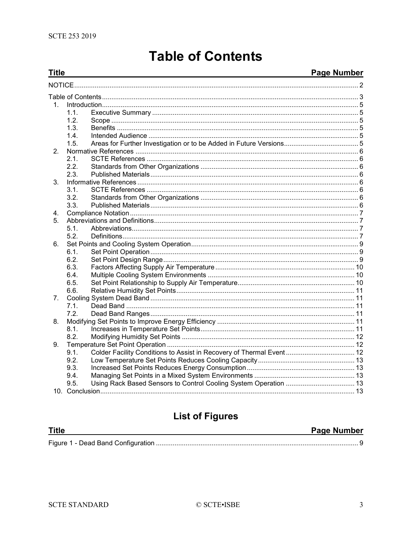## **Table of Contents**

#### <span id="page-2-0"></span>**Title Page Number**  $1$  $11$  $1.2.$  $1.3.$  $14$ Intended Audience 55 September 2014 12:30 September 2014 12:30 September 2014 12:30 September 2014 12:30 September 2014 12:30 September 2014 12:30 September 2014 12:30 September 2014 12:30 September 2014 12:30 September 20  $1.5.$  $2<sup>1</sup>$  $2.1.$  $2.2.$  $2.3.$  $\mathbf{3}$  $3.1.$  $3.2.$  $3.3.$  $\mathbf{4}$  $5<sub>1</sub>$  $51$  $5.2.$ 6.  $6.1.$  $6.2.$ 6.3. 6.4.  $6.5.$ 6.6.  $7.$  $7.1.$  $7.2.$ 8  $8.1.$  $8.2.$ 9.  $9.1$ Colder Facility Conditions to Assist in Recovery of Thermal Event................................... 12  $9.2.$ 9.3. 9.4 9.5.

## **List of Figures**

| <b>Title</b> | Page Number |
|--------------|-------------|
|              |             |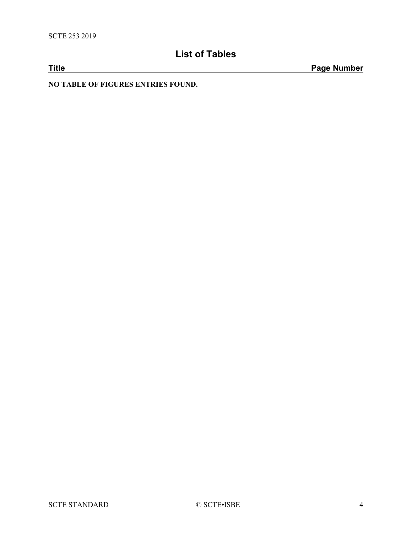## **List of Tables**

**Title Page Number**

**NO TABLE OF FIGURES ENTRIES FOUND.**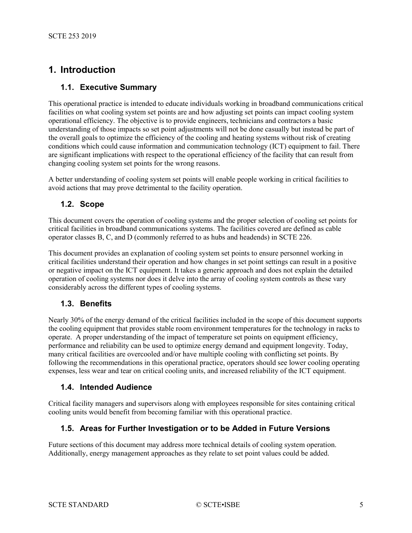## <span id="page-4-0"></span>**1. Introduction**

#### <span id="page-4-1"></span>**1.1. Executive Summary**

This operational practice is intended to educate individuals working in broadband communications critical facilities on what cooling system set points are and how adjusting set points can impact cooling system operational efficiency. The objective is to provide engineers, technicians and contractors a basic understanding of those impacts so set point adjustments will not be done casually but instead be part of the overall goals to optimize the efficiency of the cooling and heating systems without risk of creating conditions which could cause information and communication technology (ICT) equipment to fail. There are significant implications with respect to the operational efficiency of the facility that can result from changing cooling system set points for the wrong reasons.

A better understanding of cooling system set points will enable people working in critical facilities to avoid actions that may prove detrimental to the facility operation.

#### <span id="page-4-2"></span>**1.2. Scope**

This document covers the operation of cooling systems and the proper selection of cooling set points for critical facilities in broadband communications systems. The facilities covered are defined as cable operator classes B, C, and D (commonly referred to as hubs and headends) in SCTE 226.

This document provides an explanation of cooling system set points to ensure personnel working in critical facilities understand their operation and how changes in set point settings can result in a positive or negative impact on the ICT equipment. It takes a generic approach and does not explain the detailed operation of cooling systems nor does it delve into the array of cooling system controls as these vary considerably across the different types of cooling systems.

#### <span id="page-4-3"></span>**1.3. Benefits**

Nearly 30% of the energy demand of the critical facilities included in the scope of this document supports the cooling equipment that provides stable room environment temperatures for the technology in racks to operate. A proper understanding of the impact of temperature set points on equipment efficiency, performance and reliability can be used to optimize energy demand and equipment longevity. Today, many critical facilities are overcooled and/or have multiple cooling with conflicting set points. By following the recommendations in this operational practice, operators should see lower cooling operating expenses, less wear and tear on critical cooling units, and increased reliability of the ICT equipment.

#### <span id="page-4-4"></span>**1.4. Intended Audience**

Critical facility managers and supervisors along with employees responsible for sites containing critical cooling units would benefit from becoming familiar with this operational practice.

#### <span id="page-4-5"></span>**1.5. Areas for Further Investigation or to be Added in Future Versions**

Future sections of this document may address more technical details of cooling system operation. Additionally, energy management approaches as they relate to set point values could be added.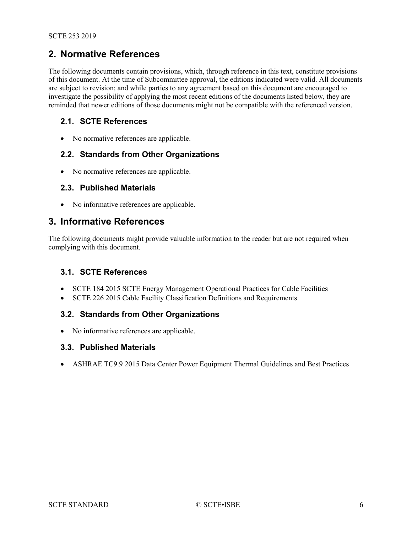## <span id="page-5-0"></span>**2. Normative References**

The following documents contain provisions, which, through reference in this text, constitute provisions of this document. At the time of Subcommittee approval, the editions indicated were valid. All documents are subject to revision; and while parties to any agreement based on this document are encouraged to investigate the possibility of applying the most recent editions of the documents listed below, they are reminded that newer editions of those documents might not be compatible with the referenced version.

#### <span id="page-5-1"></span>**2.1. SCTE References**

• No normative references are applicable.

#### <span id="page-5-2"></span>**2.2. Standards from Other Organizations**

<span id="page-5-3"></span>• No normative references are applicable.

#### **2.3. Published Materials**

• No informative references are applicable.

#### <span id="page-5-4"></span>**3. Informative References**

The following documents might provide valuable information to the reader but are not required when complying with this document.

#### <span id="page-5-5"></span>**3.1. SCTE References**

- SCTE 184 2015 SCTE Energy Management Operational Practices for Cable Facilities
- SCTE 226 2015 Cable Facility Classification Definitions and Requirements

#### <span id="page-5-6"></span>**3.2. Standards from Other Organizations**

• No informative references are applicable.

#### <span id="page-5-7"></span>**3.3. Published Materials**

• ASHRAE TC9.9 2015 Data Center Power Equipment Thermal Guidelines and Best Practices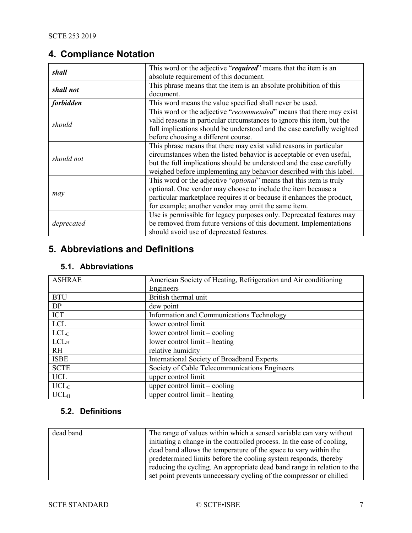## <span id="page-6-0"></span>**4. Compliance Notation**

| shall            | This word or the adjective "required" means that the item is an              |
|------------------|------------------------------------------------------------------------------|
|                  | absolute requirement of this document.                                       |
| shall not        | This phrase means that the item is an absolute prohibition of this           |
|                  | document.                                                                    |
| <i>forbidden</i> | This word means the value specified shall never be used.                     |
| should           | This word or the adjective "recommended" means that there may exist          |
|                  | valid reasons in particular circumstances to ignore this item, but the       |
|                  | full implications should be understood and the case carefully weighted       |
|                  | before choosing a different course.                                          |
| should not       | This phrase means that there may exist valid reasons in particular           |
|                  | circumstances when the listed behavior is acceptable or even useful,         |
|                  | but the full implications should be understood and the case carefully        |
|                  | weighed before implementing any behavior described with this label.          |
| may              | This word or the adjective " <i>optional</i> " means that this item is truly |
|                  | optional. One vendor may choose to include the item because a                |
|                  | particular marketplace requires it or because it enhances the product,       |
|                  | for example; another vendor may omit the same item.                          |
| deprecated       | Use is permissible for legacy purposes only. Deprecated features may         |
|                  | be removed from future versions of this document. Implementations            |
|                  | should avoid use of deprecated features.                                     |

## <span id="page-6-1"></span>**5. Abbreviations and Definitions**

## <span id="page-6-2"></span>**5.1. Abbreviations**

| <b>ASHRAE</b>    | American Society of Heating, Refrigeration and Air conditioning |
|------------------|-----------------------------------------------------------------|
|                  | Engineers                                                       |
| <b>BTU</b>       | British thermal unit                                            |
| DP               | dew point                                                       |
| ICT              | Information and Communications Technology                       |
| <b>LCL</b>       | lower control limit                                             |
| LCL <sub>C</sub> | lower control $limit – cooling$                                 |
| LCL <sub>H</sub> | lower control limit – heating                                   |
| <b>RH</b>        | relative humidity                                               |
| <b>ISBE</b>      | International Society of Broadband Experts                      |
| <b>SCTE</b>      | Society of Cable Telecommunications Engineers                   |
| <b>UCL</b>       | upper control limit                                             |
| UCL <sub>C</sub> | upper control $limit – cooling$                                 |
| UCL <sub>H</sub> | upper control $limit - heating$                                 |

## <span id="page-6-3"></span>**5.2. Definitions**

| dead band | The range of values within which a sensed variable can vary without     |
|-----------|-------------------------------------------------------------------------|
|           | initiating a change in the controlled process. In the case of cooling,  |
|           | dead band allows the temperature of the space to vary within the        |
|           | predetermined limits before the cooling system responds, thereby        |
|           | reducing the cycling. An appropriate dead band range in relation to the |
|           | set point prevents unnecessary cycling of the compressor or chilled     |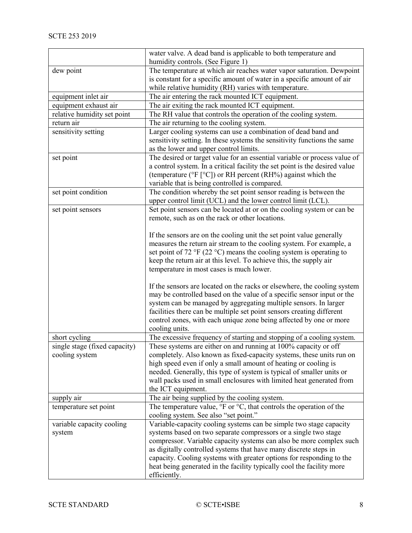| water valve. A dead band is applicable to both temperature and                                                                         |
|----------------------------------------------------------------------------------------------------------------------------------------|
| humidity controls. (See Figure 1)                                                                                                      |
| The temperature at which air reaches water vapor saturation. Dewpoint                                                                  |
| is constant for a specific amount of water in a specific amount of air                                                                 |
| while relative humidity (RH) varies with temperature.                                                                                  |
| The air entering the rack mounted ICT equipment.                                                                                       |
| The air exiting the rack mounted ICT equipment.                                                                                        |
| The RH value that controls the operation of the cooling system.                                                                        |
| The air returning to the cooling system.                                                                                               |
| Larger cooling systems can use a combination of dead band and                                                                          |
| sensitivity setting. In these systems the sensitivity functions the same                                                               |
| as the lower and upper control limits.                                                                                                 |
| The desired or target value for an essential variable or process value of                                                              |
| a control system. In a critical facility the set point is the desired value                                                            |
| (temperature ( ${}^{\circ}$ F [ ${}^{\circ}$ C]) or RH percent (RH ${}^{\circ}$ ) against which the                                    |
| variable that is being controlled is compared.                                                                                         |
| The condition whereby the set point sensor reading is between the                                                                      |
| upper control limit (UCL) and the lower control limit (LCL).                                                                           |
| Set point sensors can be located at or on the cooling system or can be                                                                 |
| remote, such as on the rack or other locations.                                                                                        |
| If the sensors are on the cooling unit the set point value generally                                                                   |
| measures the return air stream to the cooling system. For example, a                                                                   |
| set point of 72 °F (22 °C) means the cooling system is operating to                                                                    |
| keep the return air at this level. To achieve this, the supply air                                                                     |
| temperature in most cases is much lower.                                                                                               |
|                                                                                                                                        |
| If the sensors are located on the racks or elsewhere, the cooling system                                                               |
| may be controlled based on the value of a specific sensor input or the                                                                 |
| system can be managed by aggregating multiple sensors. In larger                                                                       |
| facilities there can be multiple set point sensors creating different                                                                  |
| control zones, with each unique zone being affected by one or more                                                                     |
| cooling units.                                                                                                                         |
| The excessive frequency of starting and stopping of a cooling system.                                                                  |
| These systems are either on and running at 100% capacity or off                                                                        |
| completely. Also known as fixed-capacity systems, these units run on                                                                   |
| high speed even if only a small amount of heating or cooling is                                                                        |
| needed. Generally, this type of system is typical of smaller units or                                                                  |
| wall packs used in small enclosures with limited heat generated from                                                                   |
| the ICT equipment.                                                                                                                     |
| The air being supplied by the cooling system.                                                                                          |
| The temperature value, °F or °C, that controls the operation of the                                                                    |
| cooling system. See also "set point."                                                                                                  |
| Variable-capacity cooling systems can be simple two stage capacity                                                                     |
| systems based on two separate compressors or a single two stage<br>compressor. Variable capacity systems can also be more complex such |
| as digitally controlled systems that have many discrete steps in                                                                       |
| capacity. Cooling systems with greater options for responding to the                                                                   |
| heat being generated in the facility typically cool the facility more                                                                  |
| efficiently.                                                                                                                           |
|                                                                                                                                        |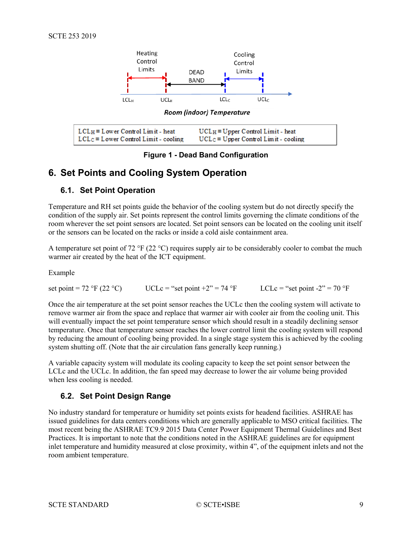

**Figure 1 - Dead Band Configuration**

## <span id="page-8-3"></span><span id="page-8-0"></span>**6. Set Points and Cooling System Operation**

#### <span id="page-8-1"></span>**6.1. Set Point Operation**

Temperature and RH set points guide the behavior of the cooling system but do not directly specify the condition of the supply air. Set points represent the control limits governing the climate conditions of the room wherever the set point sensors are located. Set point sensors can be located on the cooling unit itself or the sensors can be located on the racks or inside a cold aisle containment area.

A temperature set point of 72 °F (22 °C) requires supply air to be considerably cooler to combat the much warmer air created by the heat of the ICT equipment.

Example

set point = 72 °F (22 °C) UCLc = "set point +2" = 74 °F LCLc = "set point -2" = 70 °F

Once the air temperature at the set point sensor reaches the UCLc then the cooling system will activate to remove warmer air from the space and replace that warmer air with cooler air from the cooling unit. This will eventually impact the set point temperature sensor which should result in a steadily declining sensor temperature. Once that temperature sensor reaches the lower control limit the cooling system will respond by reducing the amount of cooling being provided. In a single stage system this is achieved by the cooling system shutting off. (Note that the air circulation fans generally keep running.)

A variable capacity system will modulate its cooling capacity to keep the set point sensor between the LCLc and the UCLc. In addition, the fan speed may decrease to lower the air volume being provided when less cooling is needed.

#### <span id="page-8-2"></span>**6.2. Set Point Design Range**

No industry standard for temperature or humidity set points exists for headend facilities. ASHRAE has issued guidelines for data centers conditions which are generally applicable to MSO critical facilities. The most recent being the ASHRAE TC9.9 2015 Data Center Power Equipment Thermal Guidelines and Best Practices. It is important to note that the conditions noted in the ASHRAE guidelines are for equipment inlet temperature and humidity measured at close proximity, within 4", of the equipment inlets and not the room ambient temperature.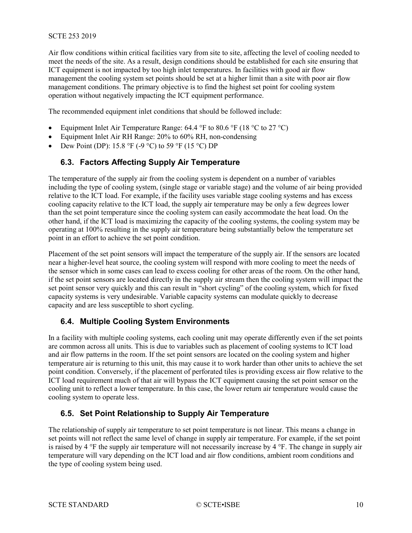#### SCTE 253 2019

Air flow conditions within critical facilities vary from site to site, affecting the level of cooling needed to meet the needs of the site. As a result, design conditions should be established for each site ensuring that ICT equipment is not impacted by too high inlet temperatures. In facilities with good air flow management the cooling system set points should be set at a higher limit than a site with poor air flow management conditions. The primary objective is to find the highest set point for cooling system operation without negatively impacting the ICT equipment performance.

The recommended equipment inlet conditions that should be followed include:

- Equipment Inlet Air Temperature Range: 64.4 °F to 80.6 °F (18 °C to 27 °C)
- Equipment Inlet Air RH Range: 20% to 60% RH, non-condensing
- <span id="page-9-0"></span>Dew Point (DP): 15.8 °F (-9 °C) to 59 °F (15 °C) DP

#### **6.3. Factors Affecting Supply Air Temperature**

The temperature of the supply air from the cooling system is dependent on a number of variables including the type of cooling system, (single stage or variable stage) and the volume of air being provided relative to the ICT load. For example, if the facility uses variable stage cooling systems and has excess cooling capacity relative to the ICT load, the supply air temperature may be only a few degrees lower than the set point temperature since the cooling system can easily accommodate the heat load. On the other hand, if the ICT load is maximizing the capacity of the cooling systems, the cooling system may be operating at 100% resulting in the supply air temperature being substantially below the temperature set point in an effort to achieve the set point condition.

Placement of the set point sensors will impact the temperature of the supply air. If the sensors are located near a higher-level heat source, the cooling system will respond with more cooling to meet the needs of the sensor which in some cases can lead to excess cooling for other areas of the room. On the other hand, if the set point sensors are located directly in the supply air stream then the cooling system will impact the set point sensor very quickly and this can result in "short cycling" of the cooling system, which for fixed capacity systems is very undesirable. Variable capacity systems can modulate quickly to decrease capacity and are less susceptible to short cycling.

#### <span id="page-9-1"></span>**6.4. Multiple Cooling System Environments**

In a facility with multiple cooling systems, each cooling unit may operate differently even if the set points are common across all units. This is due to variables such as placement of cooling systems to ICT load and air flow patterns in the room. If the set point sensors are located on the cooling system and higher temperature air is returning to this unit, this may cause it to work harder than other units to achieve the set point condition. Conversely, if the placement of perforated tiles is providing excess air flow relative to the ICT load requirement much of that air will bypass the ICT equipment causing the set point sensor on the cooling unit to reflect a lower temperature. In this case, the lower return air temperature would cause the cooling system to operate less.

#### <span id="page-9-2"></span>**6.5. Set Point Relationship to Supply Air Temperature**

The relationship of supply air temperature to set point temperature is not linear. This means a change in set points will not reflect the same level of change in supply air temperature. For example, if the set point is raised by 4 °F the supply air temperature will not necessarily increase by 4 °F. The change in supply air temperature will vary depending on the ICT load and air flow conditions, ambient room conditions and the type of cooling system being used.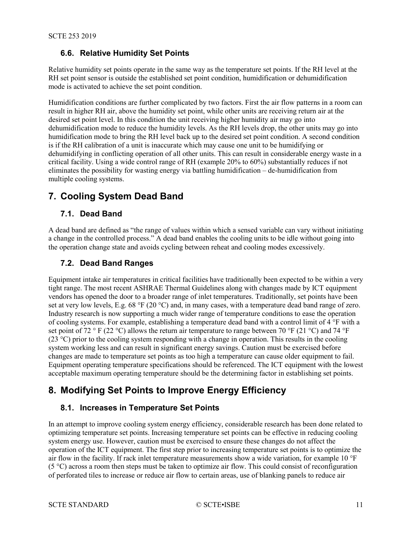#### <span id="page-10-0"></span>**6.6. Relative Humidity Set Points**

Relative humidity set points operate in the same way as the temperature set points. If the RH level at the RH set point sensor is outside the established set point condition, humidification or dehumidification mode is activated to achieve the set point condition.

Humidification conditions are further complicated by two factors. First the air flow patterns in a room can result in higher RH air, above the humidity set point, while other units are receiving return air at the desired set point level. In this condition the unit receiving higher humidity air may go into dehumidification mode to reduce the humidity levels. As the RH levels drop, the other units may go into humidification mode to bring the RH level back up to the desired set point condition. A second condition is if the RH calibration of a unit is inaccurate which may cause one unit to be humidifying or dehumidifying in conflicting operation of all other units. This can result in considerable energy waste in a critical facility. Using a wide control range of RH (example 20% to 60%) substantially reduces if not eliminates the possibility for wasting energy via battling humidification – de-humidification from multiple cooling systems.

## <span id="page-10-1"></span>**7. Cooling System Dead Band**

#### <span id="page-10-2"></span>**7.1. Dead Band**

A dead band are defined as "the range of values within which a sensed variable can vary without initiating a change in the controlled process." A dead band enables the cooling units to be idle without going into the operation change state and avoids cycling between reheat and cooling modes excessively.

#### <span id="page-10-3"></span>**7.2. Dead Band Ranges**

Equipment intake air temperatures in critical facilities have traditionally been expected to be within a very tight range. The most recent ASHRAE Thermal Guidelines along with changes made by ICT equipment vendors has opened the door to a broader range of inlet temperatures. Traditionally, set points have been set at very low levels, E.g. 68 °F (20 °C) and, in many cases, with a temperature dead band range of zero. Industry research is now supporting a much wider range of temperature conditions to ease the operation of cooling systems. For example, establishing a temperature dead band with a control limit of 4 °F with a set point of 72 ° F (22 °C) allows the return air temperature to range between 70 °F (21 °C) and 74 °F  $(23^{\circ}$ C) prior to the cooling system responding with a change in operation. This results in the cooling system working less and can result in significant energy savings. Caution must be exercised before changes are made to temperature set points as too high a temperature can cause older equipment to fail. Equipment operating temperature specifications should be referenced. The ICT equipment with the lowest acceptable maximum operating temperature should be the determining factor in establishing set points.

## <span id="page-10-4"></span>**8. Modifying Set Points to Improve Energy Efficiency**

#### <span id="page-10-5"></span>**8.1. Increases in Temperature Set Points**

In an attempt to improve cooling system energy efficiency, considerable research has been done related to optimizing temperature set points. Increasing temperature set points can be effective in reducing cooling system energy use. However, caution must be exercised to ensure these changes do not affect the operation of the ICT equipment. The first step prior to increasing temperature set points is to optimize the air flow in the facility. If rack inlet temperature measurements show a wide variation, for example 10 °F (5 °C) across a room then steps must be taken to optimize air flow. This could consist of reconfiguration of perforated tiles to increase or reduce air flow to certain areas, use of blanking panels to reduce air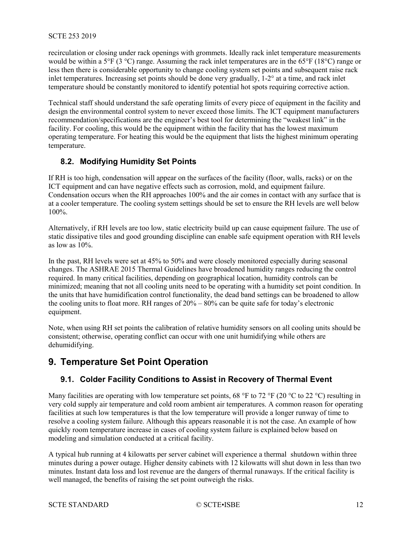#### SCTE 253 2019

recirculation or closing under rack openings with grommets. Ideally rack inlet temperature measurements would be within a 5°F (3 °C) range. Assuming the rack inlet temperatures are in the 65°F (18°C) range or less then there is considerable opportunity to change cooling system set points and subsequent raise rack inlet temperatures. Increasing set points should be done very gradually, 1-2° at a time, and rack inlet temperature should be constantly monitored to identify potential hot spots requiring corrective action.

Technical staff should understand the safe operating limits of every piece of equipment in the facility and design the environmental control system to never exceed those limits. The ICT equipment manufacturers recommendation/specifications are the engineer's best tool for determining the "weakest link" in the facility. For cooling, this would be the equipment within the facility that has the lowest maximum operating temperature. For heating this would be the equipment that lists the highest minimum operating temperature.

#### <span id="page-11-0"></span>**8.2. Modifying Humidity Set Points**

If RH is too high, condensation will appear on the surfaces of the facility (floor, walls, racks) or on the ICT equipment and can have negative effects such as corrosion, mold, and equipment failure. Condensation occurs when the RH approaches 100% and the air comes in contact with any surface that is at a cooler temperature. The cooling system settings should be set to ensure the RH levels are well below 100%.

Alternatively, if RH levels are too low, static electricity build up can cause equipment failure. The use of static dissipative tiles and good grounding discipline can enable safe equipment operation with RH levels as low as  $10\%$ .

In the past, RH levels were set at 45% to 50% and were closely monitored especially during seasonal changes. The ASHRAE 2015 Thermal Guidelines have broadened humidity ranges reducing the control required. In many critical facilities, depending on geographical location, humidity controls can be minimized; meaning that not all cooling units need to be operating with a humidity set point condition. In the units that have humidification control functionality, the dead band settings can be broadened to allow the cooling units to float more. RH ranges of 20% – 80% can be quite safe for today's electronic equipment.

Note, when using RH set points the calibration of relative humidity sensors on all cooling units should be consistent; otherwise, operating conflict can occur with one unit humidifying while others are dehumidifying.

## <span id="page-11-2"></span><span id="page-11-1"></span>**9. Temperature Set Point Operation**

#### **9.1. Colder Facility Conditions to Assist in Recovery of Thermal Event**

Many facilities are operating with low temperature set points, 68 °F to 72 °F (20 °C to 22 °C) resulting in very cold supply air temperature and cold room ambient air temperatures. A common reason for operating facilities at such low temperatures is that the low temperature will provide a longer runway of time to resolve a cooling system failure. Although this appears reasonable it is not the case. An example of how quickly room temperature increase in cases of cooling system failure is explained below based on modeling and simulation conducted at a critical facility.

A typical hub running at 4 kilowatts per server cabinet will experience a thermal shutdown within three minutes during a power outage. Higher density cabinets with 12 kilowatts will shut down in less than two minutes. Instant data loss and lost revenue are the dangers of thermal runaways. If the critical facility is well managed, the benefits of raising the set point outweigh the risks.